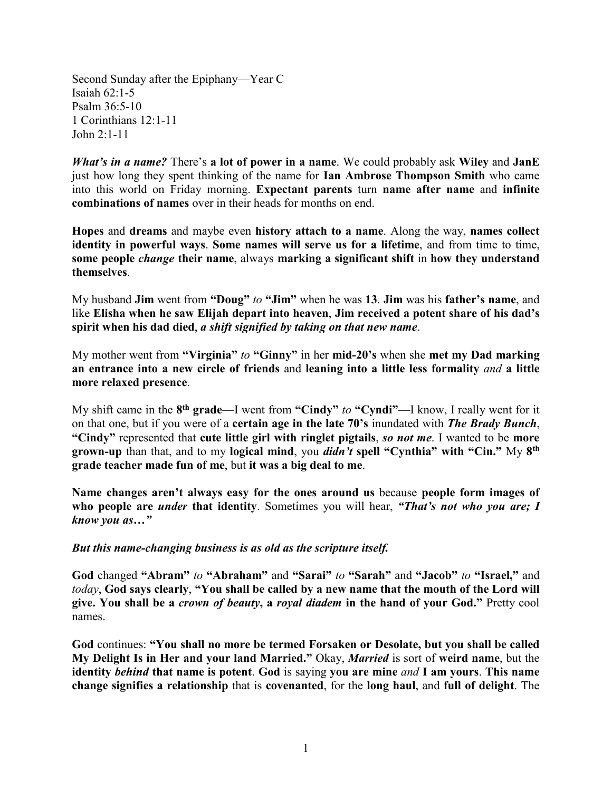Second Sunday after the Epiphany—Year C Isaiah 62:1-5 Psalm 36:5-10 1 Corinthians 12:1-11 John 2:1-11

*What's in a name?* There's **a lot of power in a name**. We could probably ask **Wiley** and **JanE**  just how long they spent thinking of the name for **Ian Ambrose Thompson Smith** who came into this world on Friday morning. **Expectant parents** turn **name after name** and **infinite combinations of names** over in their heads for months on end.

**Hopes** and **dreams** and maybe even **history attach to a name**. Along the way, **names collect identity in powerful ways**. **Some names will serve us for a lifetime**, and from time to time, **some people** *change* **their name**, always **marking a significant shift** in **how they understand themselves**.

My husband **Jim** went from **"Doug"** *to* **"Jim"** when he was **13**. **Jim** was his **father's name**, and like **Elisha when he saw Elijah depart into heaven**, **Jim received a potent share of his dad's spirit when his dad died**, *a shift signified by taking on that new name*.

My mother went from **"Virginia"** *to* **"Ginny"** in her **mid-20's** when she **met my Dad marking an entrance into a new circle of friends** and **leaning into a little less formality** *and* **a little more relaxed presence**.

My shift came in the **8th grade**—I went from **"Cindy"** *to* **"Cyndi"**—I know, I really went for it on that one, but if you were of a **certain age in the late 70's** inundated with *The Brady Bunch*, **"Cindy"** represented that **cute little girl with ringlet pigtails**, *so not me*. I wanted to be **more grown-up** than that, and to my **logical mind**, you *didn't* **spell "Cynthia" with "Cin."** My **8th grade teacher made fun of me**, but **it was a big deal to me**.

**Name changes aren't always easy for the ones around us** because **people form images of who people are** *under* **that identity**. Sometimes you will hear, *"That's not who you are; I know you as…"*

## *But this name-changing business is as old as the scripture itself.*

**God** changed **"Abram"** *to* **"Abraham"** and **"Sarai"** *to* **"Sarah"** and **"Jacob"** *to* **"Israel,"** and *today*, **God says clearly**, **"You shall be called by a new name that the mouth of the Lord will give. You shall be a** *crown of beauty***, a** *royal diadem* **in the hand of your God."** Pretty cool names.

**God** continues: **"You shall no more be termed Forsaken or Desolate, but you shall be called My Delight Is in Her and your land Married."** Okay, *Married* is sort of **weird name**, but the **identity** *behind* **that name is potent**. **God** is saying **you are mine** *and* **I am yours**. **This name change signifies a relationship** that is **covenanted**, for the **long haul**, and **full of delight**. The